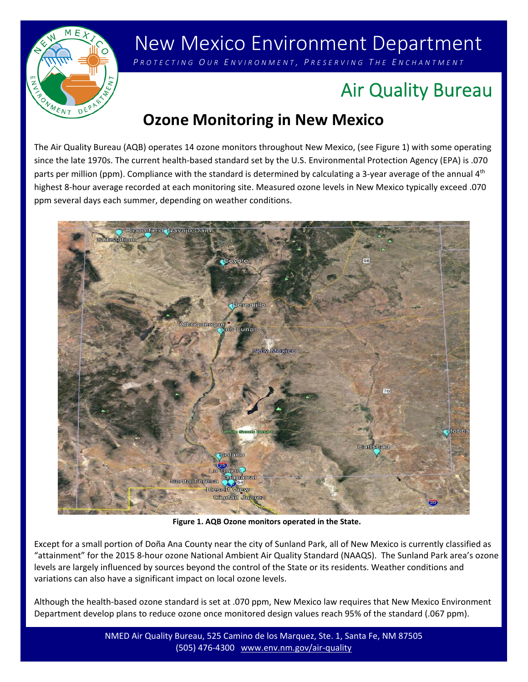

# New Mexico Environment Department

 *P ROTECTING O U R E NVIRONMENT , P RESERVING T H E E NCHANTMENT*

## Air Quality Bureau

### **Ozone Monitoring in New Mexico**

The Air Quality Bureau (AQB) operates 14 ozone monitors throughout New Mexico, (see Figure 1) with some operating since the late 1970s. The current health‐based standard set by the U.S. Environmental Protection Agency (EPA) is .070 parts per million (ppm). Compliance with the standard is determined by calculating a 3-year average of the annual 4<sup>th</sup> highest 8‐hour average recorded at each monitoring site. Measured ozone levels in New Mexico typically exceed .070 ppm several days each summer, depending on weather conditions.



**Figure 1. AQB Ozone monitors operated in the State.**

Except for a small portion of Doña Ana County near the city of Sunland Park, all of New Mexico is currently classified as "attainment" for the 2015 8‐hour ozone National Ambient Air Quality Standard (NAAQS). The Sunland Park area's ozone levels are largely influenced by sources beyond the control of the State or its residents. Weather conditions and variations can also have a significant impact on local ozone levels.

Although the health‐based ozone standard is set at .070 ppm, New Mexico law requires that New Mexico Environment Department develop plans to reduce ozone once monitored design values reach 95% of the standard (.067 ppm).